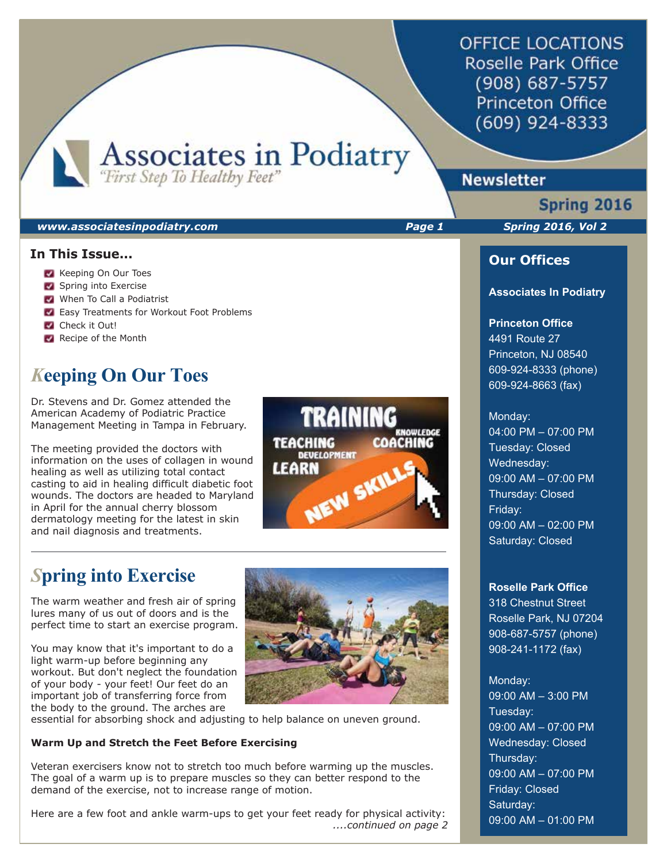**OFFICE LOCATIONS** Roselle Park Office (908) 687-5757 **Princeton Office** (609) 924-8333

Associates in Podiatry

#### *www.associatesinpodiatry.com Page 1 Spring 2016, Vol 2*

### **In This Issue...**

- Keeping On Our Toes
- Spring into Exercise
- When To Call a Podiatrist
- **Easy Treatments for Workout Foot Problems**
- Check it Out!
- Recipe of the Month

# *K***eeping On Our Toes**

Dr. Stevens and Dr. Gomez attended the American Academy of Podiatric Practice Management Meeting in Tampa in February.

The meeting provided the doctors with information on the uses of collagen in wound healing as well as utilizing total contact casting to aid in healing difficult diabetic foot wounds. The doctors are headed to Maryland in April for the annual cherry blossom dermatology meeting for the latest in skin and nail diagnosis and treatments.

# **TRAINING COACHING TEACHING DEVELOPMENT LEARN** NEW SKILL

# *S***pring into Exercise**

The warm weather and fresh air of spring lures many of us out of doors and is the perfect time to start an exercise program.

You may know that it's important to do a light warm-up before beginning any workout. But don't neglect the foundation of your body - your feet! Our feet do an important job of transferring force from the body to the ground. The arches are



essential for absorbing shock and adjusting to help balance on uneven ground.

### **Warm Up and Stretch the Feet Before Exercising**

Veteran exercisers know not to stretch too much before warming up the muscles. The goal of a warm up is to prepare muscles so they can better respond to the demand of the exercise, not to increase range of motion.

Here are a few foot and ankle warm-ups to get your feet ready for physical activity:  *....continued on page 2*

## **Newsletter**

# Spring 2016

## **Our Offices**

#### **Associates In Podiatry**

### **Princeton Office**

4491 Route 27 Princeton, NJ 08540 609-924-8333 (phone) 609-924-8663 (fax)

#### Monday:

04:00 PM – 07:00 PM Tuesday: Closed Wednesday: 09:00 AM – 07:00 PM Thursday: Closed Friday: 09:00 AM – 02:00 PM Saturday: Closed

#### **Roselle Park Office**

318 Chestnut Street Roselle Park, NJ 07204 908-687-5757 (phone) 908-241-1172 (fax)

## Monday: 09:00 AM – 3:00 PM Tuesday: 09:00 AM – 07:00 PM Wednesday: Closed Thursday: 09:00 AM – 07:00 PM Friday: Closed Saturday: 09:00 AM – 01:00 PM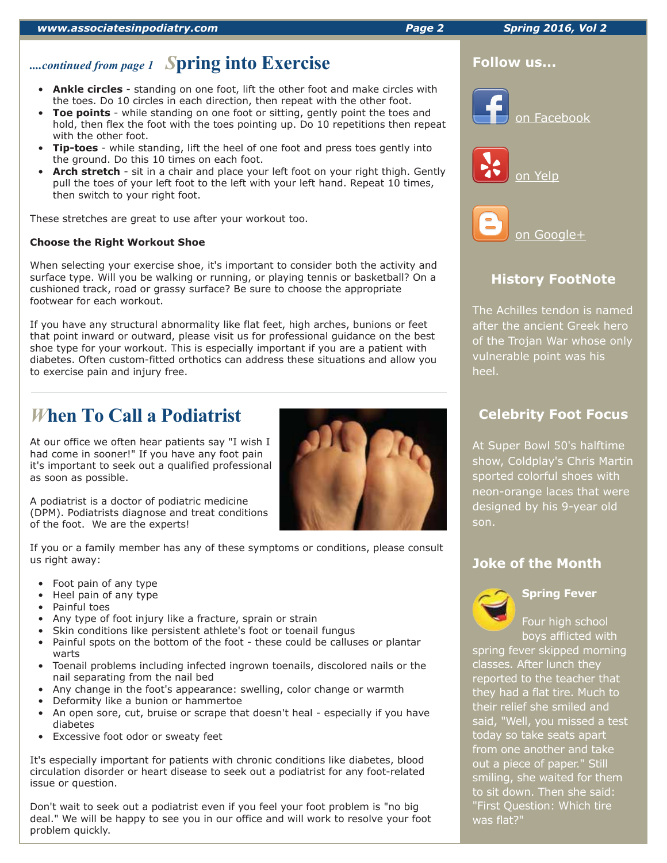#### *www.associatesinpodiatry.com Page 2 Spring 2016, Vol 2*

# *....continued from page 1 S***pring into Exercise**

- **Ankle circles** standing on one foot, lift the other foot and make circles with the toes. Do 10 circles in each direction, then repeat with the other foot.
- **Toe points** while standing on one foot or sitting, gently point the toes and hold, then flex the foot with the toes pointing up. Do 10 repetitions then repeat with the other foot.
- **Tip-toes** while standing, lift the heel of one foot and press toes gently into the ground. Do this 10 times on each foot.
- **Arch stretch** sit in a chair and place your left foot on your right thigh. Gently pull the toes of your left foot to the left with your left hand. Repeat 10 times, then switch to your right foot.

These stretches are great to use after your workout too.

## **Choose the Right Workout Shoe**

When selecting your exercise shoe, it's important to consider both the activity and surface type. Will you be walking or running, or playing tennis or basketball? On a cushioned track, road or grassy surface? Be sure to choose the appropriate footwear for each workout.

If you have any structural abnormality like flat feet, high arches, bunions or feet that point inward or outward, please visit us for professional guidance on the best shoe type for your workout. This is especially important if you are a patient with diabetes. Often custom-fitted orthotics can address these situations and allow you to exercise pain and injury free.

# *W***hen To Call a Podiatrist**

At our office we often hear patients say "I wish I had come in sooner!" If you have any foot pain it's important to seek out a qualified professional as soon as possible.

A podiatrist is a doctor of podiatric medicine (DPM). Podiatrists diagnose and treat conditions of the foot. We are the experts!

If you or a family member has any of these symptoms or conditions, please consult us right away:

- Foot pain of any type
- Heel pain of any type
- Painful toes
- Any type of foot injury like a fracture, sprain or strain
- Skin conditions like persistent athlete's foot or toenail fungus
- Painful spots on the bottom of the foot these could be calluses or plantar warts
- Toenail problems including infected ingrown toenails, discolored nails or the nail separating from the nail bed
- Any change in the foot's appearance: swelling, color change or warmth
- Deformity like a bunion or hammertoe
- An open sore, cut, bruise or scrape that doesn't heal especially if you have diabetes
- Excessive foot odor or sweaty feet

It's especially important for patients with chronic conditions like diabetes, blood circulation disorder or heart disease to seek out a podiatrist for any foot-related issue or question.

Don't wait to seek out a podiatrist even if you feel your foot problem is "no big deal." We will be happy to see you in our office and will work to resolve your foot problem quickly.





The Achilles tendon is named after the ancient Greek hero of the Trojan War whose only vulnerable point was his heel.

## **Celebrity Foot Focus**

At Super Bowl 50's halftime show, Coldplay's Chris Martin sported colorful shoes with neon-orange laces that were designed by his 9-year old son.

## **Joke of the Month**



## **Spring Fever**

Four high school boys afflicted with

spring fever skipped morning classes. After lunch they reported to the teacher that they had a flat tire. Much to their relief she smiled and said, "Well, you missed a test today so take seats apart from one another and take out a piece of paper." Still smiling, she waited for them to sit down. Then she said: "First Question: Which tire was flat?"

**Follow us...**



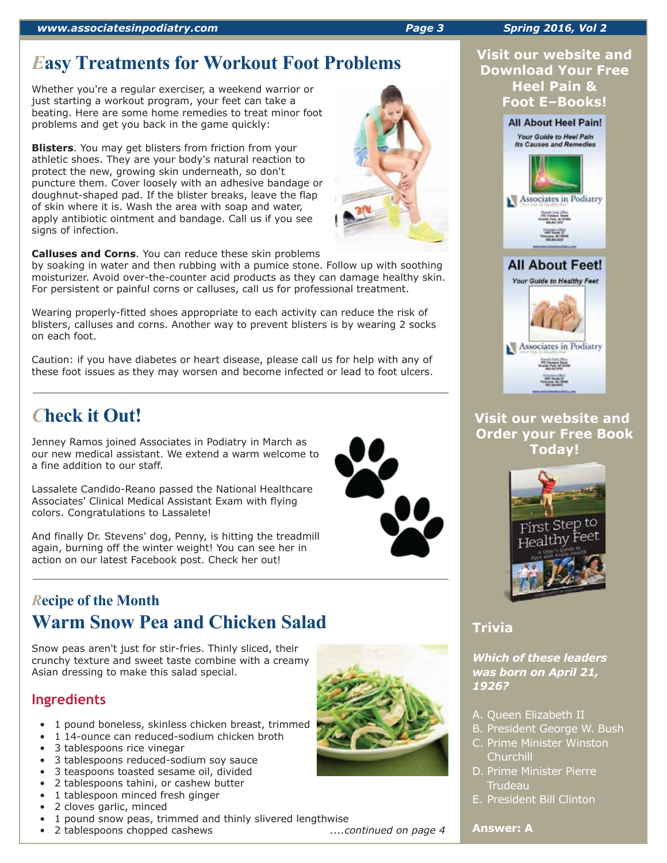# *E***asy Treatments for Workout Foot Problems**

Whether you're a regular exerciser, a weekend warrior or just starting a workout program, your feet can take a beating. Here are some home remedies to treat minor foot problems and get you back in the game quickly:

**Blisters**. You may get blisters from friction from your athletic shoes. They are your body's natural reaction to protect the new, growing skin underneath, so don't puncture them. Cover loosely with an adhesive bandage or doughnut-shaped pad. If the blister breaks, leave the flap of skin where it is. Wash the area with soap and water, apply antibiotic ointment and bandage. Call us if you see signs of infection.

**Calluses and Corns**. You can reduce these skin problems

by soaking in water and then rubbing with a pumice stone. Follow up with soothing moisturizer. Avoid over-the-counter acid products as they can damage healthy skin. For persistent or painful corns or calluses, call us for professional treatment.

Wearing properly-fitted shoes appropriate to each activity can reduce the risk of blisters, calluses and corns. Another way to prevent blisters is by wearing 2 socks on each foot.

Caution: if you have diabetes or heart disease, please call us for help with any of these foot issues as they may worsen and become infected or lead to foot ulcers.

# *C***heck it Out!**

Jenney Ramos joined Associates in Podiatry in March as our new medical assistant. We extend a warm welcome to a fine addition to our staff.

Lassalete Candido-Reano passed the National Healthcare Associates' Clinical Medical Assistant Exam with flying colors. Congratulations to Lassalete!

And finally Dr. Stevens' dog, Penny, is hitting the treadmill again, burning off the winter weight! You can see her in action on our latest Facebook post. Check her out!

# *R***ecipe of the Month Warm Snow Pea and Chicken Salad**

Snow peas aren't just for stir-fries. Thinly sliced, their crunchy texture and sweet taste combine with a creamy Asian dressing to make this salad special.

# **Ingredients**

- 1 pound boneless, skinless chicken breast, trimmed
- 1 14-ounce can reduced-sodium chicken broth
- 3 tablespoons rice vinegar
- 3 tablespoons reduced-sodium soy sauce
- 3 teaspoons toasted sesame oil, divided
- 2 tablespoons tahini, or cashew butter
- 1 tablespoon minced fresh ginger
- 2 cloves garlic, minced
- 1 pound snow peas, trimmed and thinly slivered lengthwise
- 2 tablespoons chopped cashews *....continued on page 4*



## **Visit our website and Download Your Free Heel Pain & Foot E–Books!**



## **Visit our website and Order your Free Book Today!**



# **Trivia**

*Which of these leaders was born on April 21, 1926?*

- A. Queen Elizabeth II
- B. President George W. Bush
- C. Prime Minister Winston **Churchill**
- D. Prime Minister Pierre **Trudeau**
- E. President Bill Clinton

### **Answer: A**